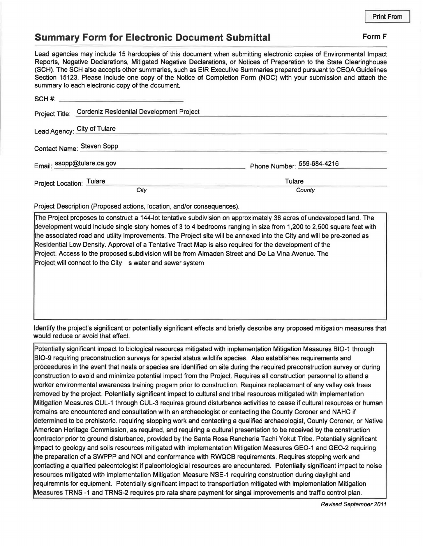## **Summary Form for Electronic Document Submittal Form F Form F**

Lead agencies may include 15 hardcopies of this document when submitting electronic copies of Environmental Impact Reports, Negative Declarations, Mitigated Negative Declarations, or Notices of Preparation to the State Clearinghouse (SCH). The SCH also accepts other summaries, such as EIR Executive Summaries prepared pursuant to CEQA Guidelines Section 15123. Please include one copy of the Notice of Completion Form (NOC) with your submission and attach the summary to each electronic copy of the document.

| Project Title: Cordeniz Residential Development Project |                            |
|---------------------------------------------------------|----------------------------|
| Lead Agency: City of Tulare                             |                            |
| Contact Name: Steven Sopp                               |                            |
| Email: ssopp@tulare.ca.gov                              | Phone Number: 559-684-4216 |
| Project Location: Tulare                                | Tulare                     |
| City                                                    | County                     |

Project Description (Proposed actions, location, and/or consequences).

The Project proposes to construct a 144-lot tentative subdivision on approximately 38 acres of undeveloped land. The development would include single story homes of 3 to 4 bedrooms ranging in size from 1,200 to 2,500 square feet with he associated road and utility improvements. The Project site will be annexed into the City and will be pre-zoned as Residential Low Density. Approval of a Tentative Tract Map is also required for the development of the Project. Access to the proposed subdivision will be from Almaden Street and De La Vina Avenue. The Project will connect to the City s water and sewer system

Identify the project's significant or potentially significant effects and briefly describe any proposed mitigation measures that would reduce or avoid that effect.

Potentially significant impact to biological resources mitigated with implementation Mitigation Measures B1O-1 through 810-9 requiring preconstruction surveys for special status wildlife species. Also establishes requirements and proceedures in the event that nests or species are identified on site during the required preconstruction survey or during construction to avoid and minimize potential impact from the Project. Requires all construction personnel to attend a worker environmental awareness training progam prior to construction. Requires replacement of any valley oak trees removed by the project. Potentially significant impact to cultural and tribal resources mitigated with implementation Mitigation Measures CUL-1 through CUL-3 requires ground disturbance activities to cease if cultural resources or human remains are encountered and consultation with an archaeologist or contacting the County Coroner and NAHC if determined to be prehistoric. requiring stopping work and contacting a qualified archaeologist, County Coroner, or Native American Heritage Commission, as required, and requiring a cultural presentation to be received by the construction contractor prior to ground disturbance, provided by the Santa Rosa Rancheria Tachi Yakut Tribe. Potentially significant impact to geology and soils resources mitigated with implementation Mitigation Measures GEO-1 and GEO-2 requiring he preparation of a SWPPP and NOi and conformance with RWQCB requirements. Requires stopping work and contacting a qualified paleontologist if paleontologicial resources are encountered. Potentially significant impact to noise resources mitigated with implementation Mitigation Measure NSE-1 requiring construction during daylight and requiremnts for equipment. Potentially significant impact to transportiation mitigated with implementation Mitigation Measures TRNS -1 and TRNS-2 requires pro rata share payment for singal improvements and traffic control plan.

Revised September 2011